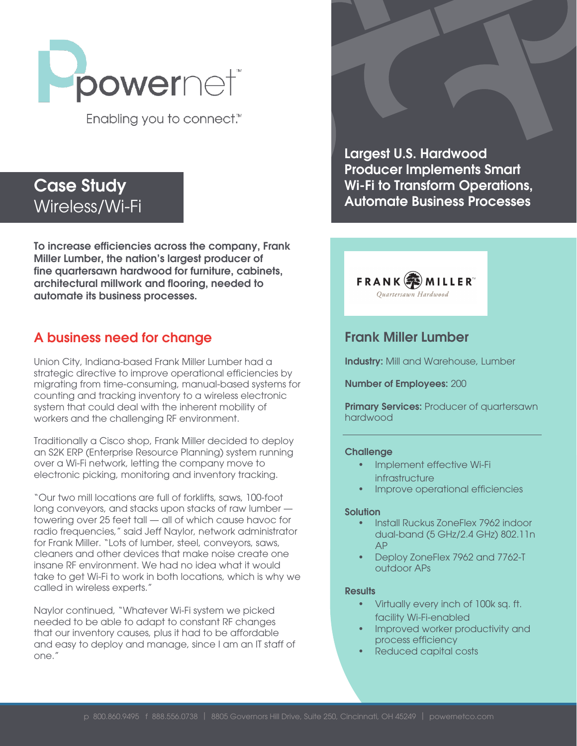

Enabling you to connect.<sup>™</sup>

# Case Study Wireless/Wi-Fi

To increase efficiencies across the company, Frank Miller Lumber, the nation's largest producer of fine quartersawn hardwood for furniture, cabinets, architectural millwork and flooring, needed to automate its business processes.

## A business need for change

Union City, Indiana-based Frank Miller Lumber had a strategic directive to improve operational efficiencies by migrating from time-consuming, manual-based systems for counting and tracking inventory to a wireless electronic system that could deal with the inherent mobility of workers and the challenging RF environment.

Traditionally a Cisco shop, Frank Miller decided to deploy an S2K ERP (Enterprise Resource Planning) system running over a Wi-Fi network, letting the company move to electronic picking, monitoring and inventory tracking.

"Our two mill locations are full of forklifts, saws, 100-foot long conveyors, and stacks upon stacks of raw lumber towering over 25 feet tall — all of which cause havoc for radio frequencies," said Jeff Naylor, network administrator for Frank Miller. "Lots of lumber, steel, conveyors, saws, cleaners and other devices that make noise create one insane RF environment. We had no idea what it would take to get Wi-Fi to work in both locations, which is why we called in wireless experts."

Naylor continued, "Whatever Wi-Fi system we picked needed to be able to adapt to constant RF changes that our inventory causes, plus it had to be affordable and easy to deploy and manage, since I am an IT staff of one."

Largest U.S. Hardwood Producer Implements Smart Wi-Fi to Transform Operations, Automate Business Processes



### Frank Miller Lumber

Industry: Mill and Warehouse, Lumber

Number of Employees: 200

Primary Services: Producer of quartersawn hardwood

#### **Challenge**

- Implement effective Wi-Fi **infrastructure**
- Improve operational efficiencies

#### Solution

- Install Ruckus ZoneFlex 7962 indoor dual-band (5 GHz/2.4 GHz) 802.11n AP
- Deploy ZoneFlex 7962 and 7762-T outdoor APs

#### Results

- Virtually every inch of 100k sq. ft. facility Wi-Fi-enabled
- Improved worker productivity and process efficiency
- Reduced capital costs